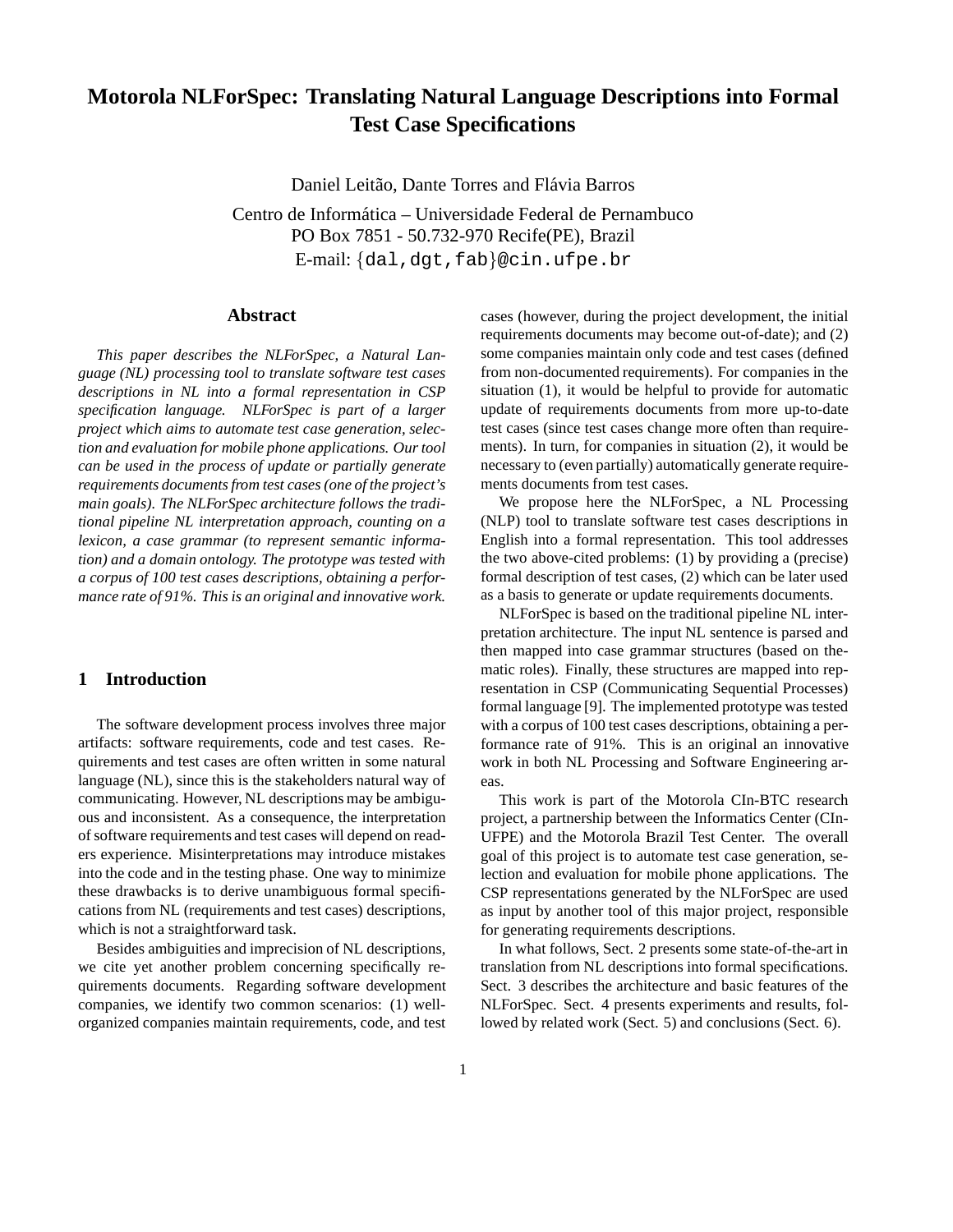# **Motorola NLForSpec: Translating Natural Language Descriptions into Formal Test Case Specifications**

Daniel Leitão, Dante Torres and Flávia Barros

Centro de Informática – Universidade Federal de Pernambuco PO Box 7851 - 50.732-970 Recife(PE), Brazil E-mail: {dal,dgt,fab}@cin.ufpe.br

# **Abstract**

*This paper describes the NLForSpec, a Natural Language (NL) processing tool to translate software test cases descriptions in NL into a formal representation in CSP specification language. NLForSpec is part of a larger project which aims to automate test case generation, selection and evaluation for mobile phone applications. Our tool can be used in the process of update or partially generate requirements documents from test cases (one of the project's main goals). The NLForSpec architecture follows the traditional pipeline NL interpretation approach, counting on a lexicon, a case grammar (to represent semantic information) and a domain ontology. The prototype was tested with a corpus of 100 test cases descriptions, obtaining a performance rate of 91%. This is an original and innovative work.*

# **1 Introduction**

The software development process involves three major artifacts: software requirements, code and test cases. Requirements and test cases are often written in some natural language (NL), since this is the stakeholders natural way of communicating. However, NL descriptions may be ambiguous and inconsistent. As a consequence, the interpretation of software requirements and test cases will depend on readers experience. Misinterpretations may introduce mistakes into the code and in the testing phase. One way to minimize these drawbacks is to derive unambiguous formal specifications from NL (requirements and test cases) descriptions, which is not a straightforward task.

Besides ambiguities and imprecision of NL descriptions, we cite yet another problem concerning specifically requirements documents. Regarding software development companies, we identify two common scenarios: (1) wellorganized companies maintain requirements, code, and test

cases (however, during the project development, the initial requirements documents may become out-of-date); and (2) some companies maintain only code and test cases (defined from non-documented requirements). For companies in the situation (1), it would be helpful to provide for automatic update of requirements documents from more up-to-date test cases (since test cases change more often than requirements). In turn, for companies in situation (2), it would be necessary to (even partially) automatically generate requirements documents from test cases.

We propose here the NLForSpec, a NL Processing (NLP) tool to translate software test cases descriptions in English into a formal representation. This tool addresses the two above-cited problems: (1) by providing a (precise) formal description of test cases, (2) which can be later used as a basis to generate or update requirements documents.

NLForSpec is based on the traditional pipeline NL interpretation architecture. The input NL sentence is parsed and then mapped into case grammar structures (based on thematic roles). Finally, these structures are mapped into representation in CSP (Communicating Sequential Processes) formal language [9]. The implemented prototype was tested with a corpus of 100 test cases descriptions, obtaining a performance rate of 91%. This is an original an innovative work in both NL Processing and Software Engineering areas.

This work is part of the Motorola CIn-BTC research project, a partnership between the Informatics Center (CIn-UFPE) and the Motorola Brazil Test Center. The overall goal of this project is to automate test case generation, selection and evaluation for mobile phone applications. The CSP representations generated by the NLForSpec are used as input by another tool of this major project, responsible for generating requirements descriptions.

In what follows, Sect. 2 presents some state-of-the-art in translation from NL descriptions into formal specifications. Sect. 3 describes the architecture and basic features of the NLForSpec. Sect. 4 presents experiments and results, followed by related work (Sect. 5) and conclusions (Sect. 6).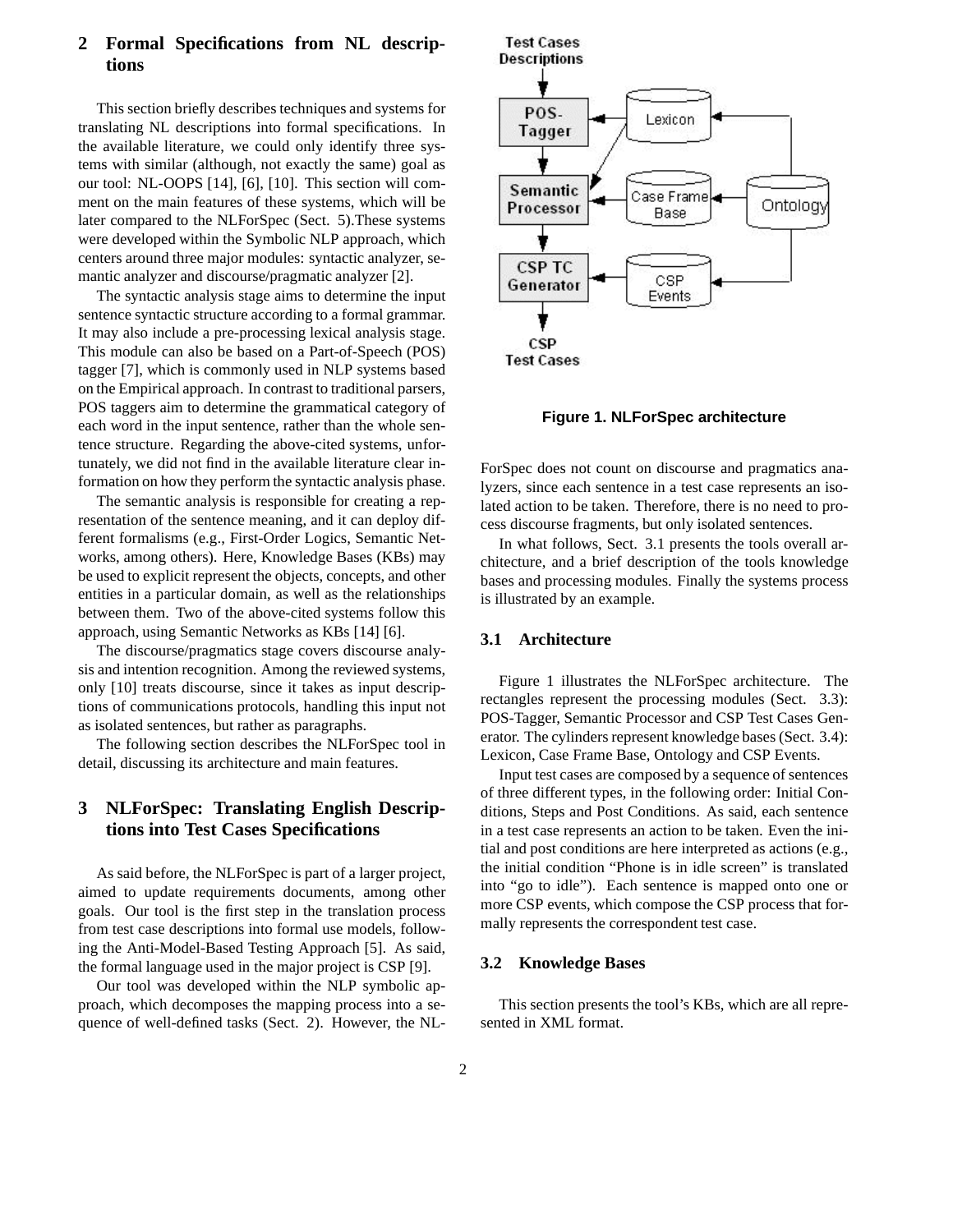# **2 Formal Specifications from NL descriptions**

This section briefly describes techniques and systems for translating NL descriptions into formal specifications. In the available literature, we could only identify three systems with similar (although, not exactly the same) goal as our tool: NL-OOPS [14], [6], [10]. This section will comment on the main features of these systems, which will be later compared to the NLForSpec (Sect. 5).These systems were developed within the Symbolic NLP approach, which centers around three major modules: syntactic analyzer, semantic analyzer and discourse/pragmatic analyzer [2].

The syntactic analysis stage aims to determine the input sentence syntactic structure according to a formal grammar. It may also include a pre-processing lexical analysis stage. This module can also be based on a Part-of-Speech (POS) tagger [7], which is commonly used in NLP systems based on the Empirical approach. In contrast to traditional parsers, POS taggers aim to determine the grammatical category of each word in the input sentence, rather than the whole sentence structure. Regarding the above-cited systems, unfortunately, we did not find in the available literature clear information on how they perform the syntactic analysis phase.

The semantic analysis is responsible for creating a representation of the sentence meaning, and it can deploy different formalisms (e.g., First-Order Logics, Semantic Networks, among others). Here, Knowledge Bases (KBs) may be used to explicit represent the objects, concepts, and other entities in a particular domain, as well as the relationships between them. Two of the above-cited systems follow this approach, using Semantic Networks as KBs [14] [6].

The discourse/pragmatics stage covers discourse analysis and intention recognition. Among the reviewed systems, only [10] treats discourse, since it takes as input descriptions of communications protocols, handling this input not as isolated sentences, but rather as paragraphs.

The following section describes the NLForSpec tool in detail, discussing its architecture and main features.

# **3 NLForSpec: Translating English Descriptions into Test Cases Specifications**

As said before, the NLForSpec is part of a larger project, aimed to update requirements documents, among other goals. Our tool is the first step in the translation process from test case descriptions into formal use models, following the Anti-Model-Based Testing Approach [5]. As said, the formal language used in the major project is CSP [9].

Our tool was developed within the NLP symbolic approach, which decomposes the mapping process into a sequence of well-defined tasks (Sect. 2). However, the NL-





**Figure 1. NLForSpec architecture**

ForSpec does not count on discourse and pragmatics analyzers, since each sentence in a test case represents an isolated action to be taken. Therefore, there is no need to process discourse fragments, but only isolated sentences.

In what follows, Sect. 3.1 presents the tools overall architecture, and a brief description of the tools knowledge bases and processing modules. Finally the systems process is illustrated by an example.

#### **3.1 Architecture**

Figure 1 illustrates the NLForSpec architecture. The rectangles represent the processing modules (Sect. 3.3): POS-Tagger, Semantic Processor and CSP Test Cases Generator. The cylinders represent knowledge bases (Sect. 3.4): Lexicon, Case Frame Base, Ontology and CSP Events.

Input test cases are composed by a sequence of sentences of three different types, in the following order: Initial Conditions, Steps and Post Conditions. As said, each sentence in a test case represents an action to be taken. Even the initial and post conditions are here interpreted as actions (e.g., the initial condition "Phone is in idle screen" is translated into "go to idle"). Each sentence is mapped onto one or more CSP events, which compose the CSP process that formally represents the correspondent test case.

# **3.2 Knowledge Bases**

This section presents the tool's KBs, which are all represented in XML format.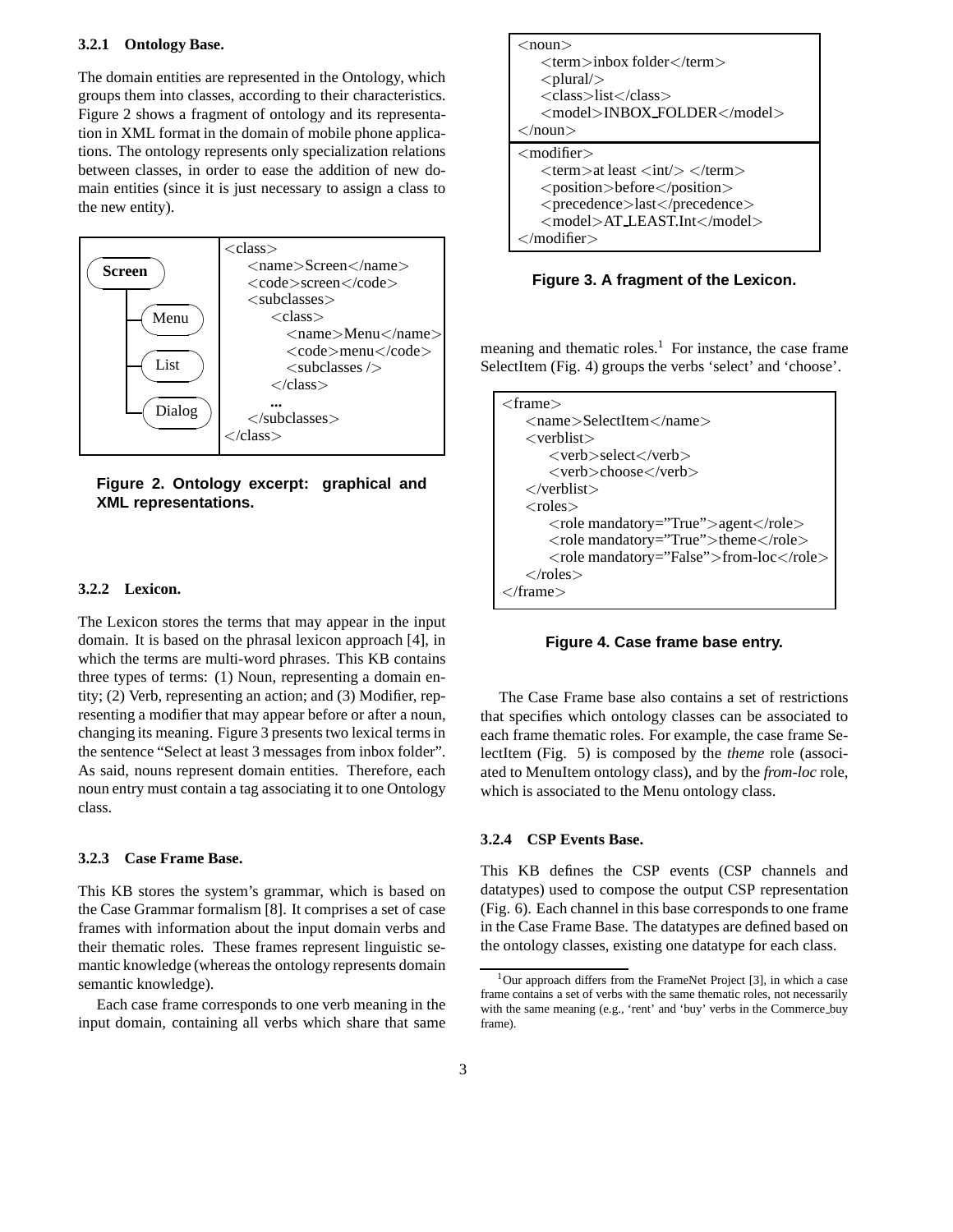#### **3.2.1 Ontology Base.**

The domain entities are represented in the Ontology, which groups them into classes, according to their characteristics. Figure 2 shows a fragment of ontology and its representation in XML format in the domain of mobile phone applications. The ontology represents only specialization relations between classes, in order to ease the addition of new domain entities (since it is just necessary to assign a class to the new entity).



**Figure 2. Ontology excerpt: graphical and XML representations.**

#### **3.2.2 Lexicon.**

The Lexicon stores the terms that may appear in the input domain. It is based on the phrasal lexicon approach [4], in which the terms are multi-word phrases. This KB contains three types of terms: (1) Noun, representing a domain entity; (2) Verb, representing an action; and (3) Modifier, representing a modifier that may appear before or after a noun, changing its meaning. Figure 3 presents two lexical terms in the sentence "Select at least 3 messages from inbox folder". As said, nouns represent domain entities. Therefore, each noun entry must contain a tag associating it to one Ontology class.

#### **3.2.3 Case Frame Base.**

This KB stores the system's grammar, which is based on the Case Grammar formalism [8]. It comprises a set of case frames with information about the input domain verbs and their thematic roles. These frames represent linguistic semantic knowledge (whereas the ontology represents domain semantic knowledge).

Each case frame corresponds to one verb meaning in the input domain, containing all verbs which share that same



**Figure 3. A fragment of the Lexicon.**

meaning and thematic roles.<sup>1</sup> For instance, the case frame SelectItem (Fig. 4) groups the verbs 'select' and 'choose'.

```
<frame>
<name>SelectItem</name>
 <verblist>
    <verb>select</verb>
    <verb>choose</verb>
</verblist>
 <roles><role mandatory="True">agent</role>
    <role mandatory="True">theme</role>
    <role mandatory="False">from-loc</role>
 \langleroles></frame>
```
**Figure 4. Case frame base entry.**

The Case Frame base also contains a set of restrictions that specifies which ontology classes can be associated to each frame thematic roles. For example, the case frame SelectItem (Fig. 5) is composed by the *theme* role (associated to MenuItem ontology class), and by the *from-loc* role, which is associated to the Menu ontology class.

# **3.2.4 CSP Events Base.**

This KB defines the CSP events (CSP channels and datatypes) used to compose the output CSP representation (Fig. 6). Each channel in this base corresponds to one frame in the Case Frame Base. The datatypes are defined based on the ontology classes, existing one datatype for each class.

 $1$ Our approach differs from the FrameNet Project [3], in which a case frame contains a set of verbs with the same thematic roles, not necessarily with the same meaning (e.g., 'rent' and 'buy' verbs in the Commerce buy frame).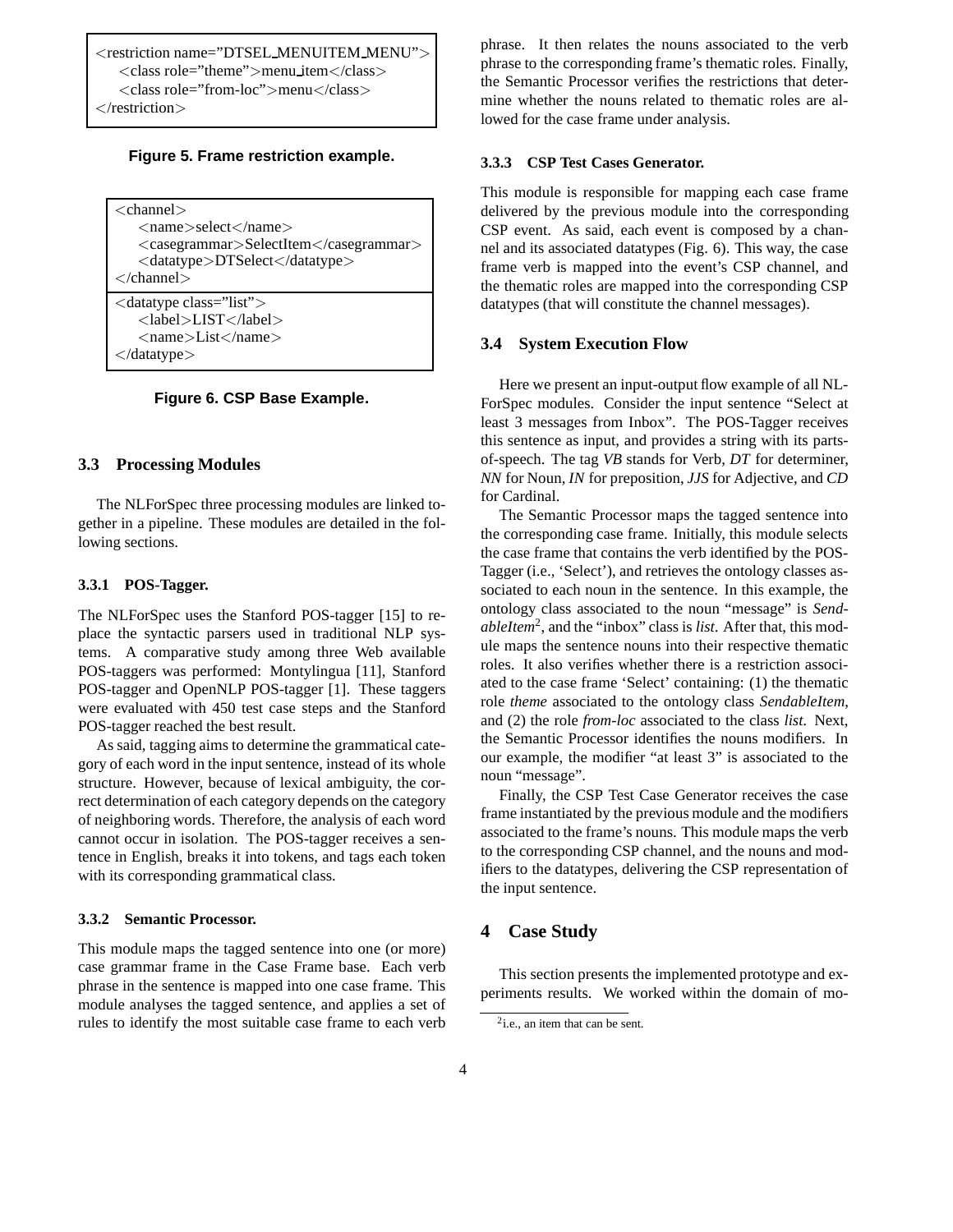<restriction name="DTSEL MENUITEM MENU"> <class role="theme">menu item</class> <class role="from-loc">menu</class>  $\alpha$  /restriction  $\sim$ 

#### **Figure 5. Frame restriction example.**

| $<$ channel $>$<br>$<$ name $>$ select $<$ /name $>$<br>$\langle \text{casegrammar} \rangle$ SelectItem $\langle \text{casegrammar} \rangle$<br>$\langle$ datatype $\rangle$ DTSelect $\langle$ datatype $\rangle$<br>$\langle$ channel $\rangle$                      |
|------------------------------------------------------------------------------------------------------------------------------------------------------------------------------------------------------------------------------------------------------------------------|
| <datatype class="list"><br/><math>&lt;</math>label<math>&gt;</math>LIST<math>&lt;</math>/label<math>&gt;</math><br/><math>&lt;</math>name<math>&gt;</math>List<math>&lt;</math>/name<math>&gt;</math><br/><math>\langle</math> datatype<math>\rangle</math></datatype> |

#### **Figure 6. CSP Base Example.**

#### **3.3 Processing Modules**

The NLForSpec three processing modules are linked together in a pipeline. These modules are detailed in the following sections.

#### **3.3.1 POS-Tagger.**

The NLForSpec uses the Stanford POS-tagger [15] to replace the syntactic parsers used in traditional NLP systems. A comparative study among three Web available POS-taggers was performed: Montylingua [11], Stanford POS-tagger and OpenNLP POS-tagger [1]. These taggers were evaluated with 450 test case steps and the Stanford POS-tagger reached the best result.

As said, tagging aims to determine the grammatical category of each word in the input sentence, instead of its whole structure. However, because of lexical ambiguity, the correct determination of each category depends on the category of neighboring words. Therefore, the analysis of each word cannot occur in isolation. The POS-tagger receives a sentence in English, breaks it into tokens, and tags each token with its corresponding grammatical class.

#### **3.3.2 Semantic Processor.**

This module maps the tagged sentence into one (or more) case grammar frame in the Case Frame base. Each verb phrase in the sentence is mapped into one case frame. This module analyses the tagged sentence, and applies a set of rules to identify the most suitable case frame to each verb

phrase. It then relates the nouns associated to the verb phrase to the corresponding frame's thematic roles. Finally, the Semantic Processor verifies the restrictions that determine whether the nouns related to thematic roles are allowed for the case frame under analysis.

#### **3.3.3 CSP Test Cases Generator.**

This module is responsible for mapping each case frame delivered by the previous module into the corresponding CSP event. As said, each event is composed by a channel and its associated datatypes (Fig. 6). This way, the case frame verb is mapped into the event's CSP channel, and the thematic roles are mapped into the corresponding CSP datatypes (that will constitute the channel messages).

#### **3.4 System Execution Flow**

Here we present an input-output flow example of all NL-ForSpec modules. Consider the input sentence "Select at least 3 messages from Inbox". The POS-Tagger receives this sentence as input, and provides a string with its partsof-speech. The tag *VB* stands for Verb, *DT* for determiner, *NN* for Noun, *IN* for preposition, *JJS* for Adjective, and *CD* for Cardinal.

The Semantic Processor maps the tagged sentence into the corresponding case frame. Initially, this module selects the case frame that contains the verb identified by the POS-Tagger (i.e., 'Select'), and retrieves the ontology classes associated to each noun in the sentence. In this example, the ontology class associated to the noun "message" is *SendableItem*<sup>2</sup> , and the "inbox" class is *list*. After that, this module maps the sentence nouns into their respective thematic roles. It also verifies whether there is a restriction associated to the case frame 'Select' containing: (1) the thematic role *theme* associated to the ontology class *SendableItem*, and (2) the role *from-loc* associated to the class *list*. Next, the Semantic Processor identifies the nouns modifiers. In our example, the modifier "at least 3" is associated to the noun "message".

Finally, the CSP Test Case Generator receives the case frame instantiated by the previous module and the modifiers associated to the frame's nouns. This module maps the verb to the corresponding CSP channel, and the nouns and modifiers to the datatypes, delivering the CSP representation of the input sentence.

# **4 Case Study**

This section presents the implemented prototype and experiments results. We worked within the domain of mo-

<sup>&</sup>lt;sup>2</sup>i.e., an item that can be sent.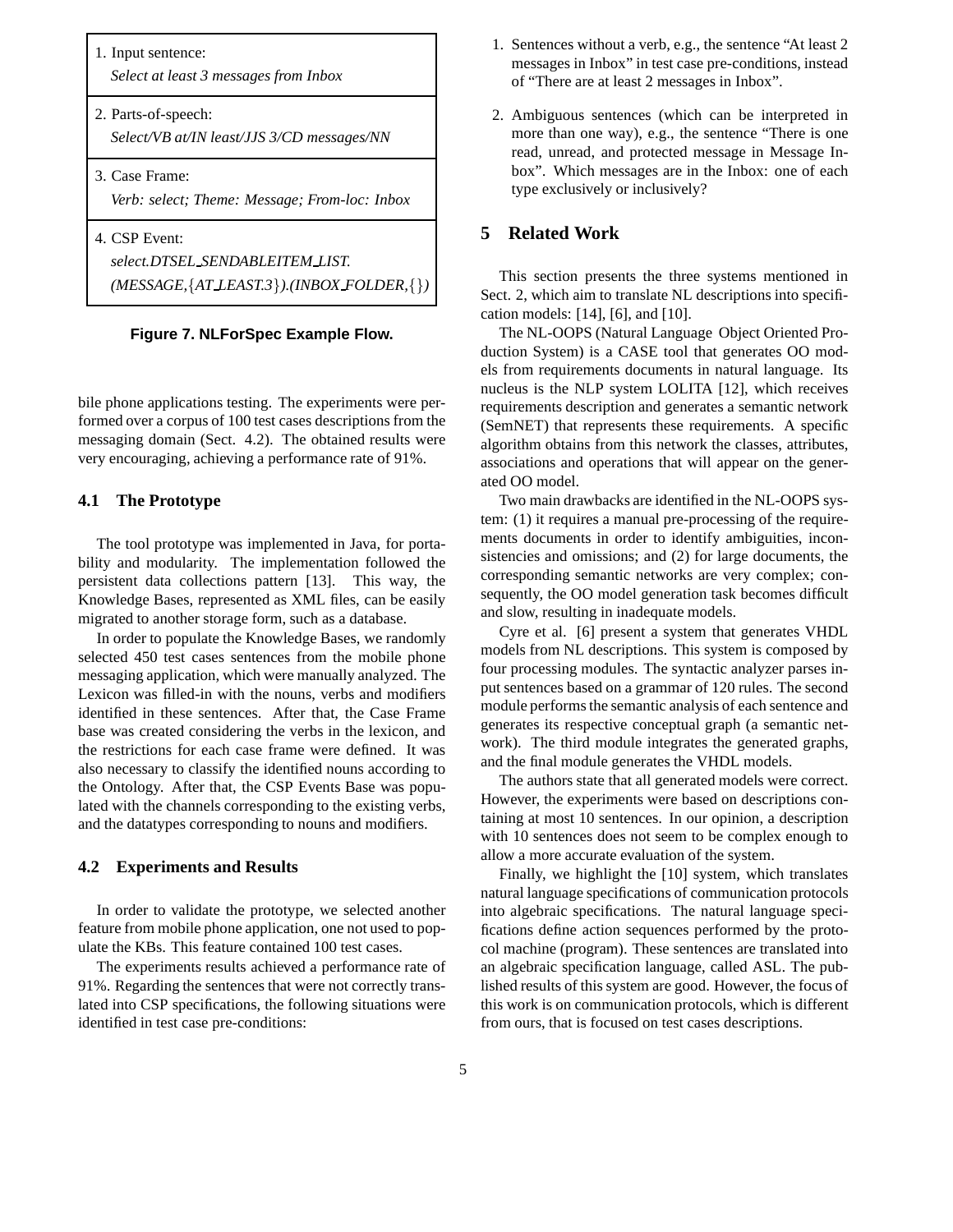| 1. Input sentence:<br>Select at least 3 messages from Inbox                                             |  |
|---------------------------------------------------------------------------------------------------------|--|
| 2. Parts-of-speech:<br>Select/VB at/IN least/JJS 3/CD messages/NN                                       |  |
| 3. Case Frame:<br>Verb: select; Theme: Message; From-loc: Inbox                                         |  |
| 4. CSP Event:<br>select.DTSEL_SENDABLEITEM_LIST.<br>$(MESSAGE, \{AT\ LEAST.3\}). (INBOX\ FOLDER, \{\})$ |  |



bile phone applications testing. The experiments were performed over a corpus of 100 test cases descriptions from the messaging domain (Sect. 4.2). The obtained results were very encouraging, achieving a performance rate of 91%.

# **4.1 The Prototype**

The tool prototype was implemented in Java, for portability and modularity. The implementation followed the persistent data collections pattern [13]. This way, the Knowledge Bases, represented as XML files, can be easily migrated to another storage form, such as a database.

In order to populate the Knowledge Bases, we randomly selected 450 test cases sentences from the mobile phone messaging application, which were manually analyzed. The Lexicon was filled-in with the nouns, verbs and modifiers identified in these sentences. After that, the Case Frame base was created considering the verbs in the lexicon, and the restrictions for each case frame were defined. It was also necessary to classify the identified nouns according to the Ontology. After that, the CSP Events Base was populated with the channels corresponding to the existing verbs, and the datatypes corresponding to nouns and modifiers.

#### **4.2 Experiments and Results**

In order to validate the prototype, we selected another feature from mobile phone application, one not used to populate the KBs. This feature contained 100 test cases.

The experiments results achieved a performance rate of 91%. Regarding the sentences that were not correctly translated into CSP specifications, the following situations were identified in test case pre-conditions:

- 1. Sentences without a verb, e.g., the sentence "At least 2 messages in Inbox" in test case pre-conditions, instead of "There are at least 2 messages in Inbox".
- 2. Ambiguous sentences (which can be interpreted in more than one way), e.g., the sentence "There is one read, unread, and protected message in Message Inbox". Which messages are in the Inbox: one of each type exclusively or inclusively?

# **5 Related Work**

This section presents the three systems mentioned in Sect. 2, which aim to translate NL descriptions into specification models: [14], [6], and [10].

The NL-OOPS (Natural Language Object Oriented Production System) is a CASE tool that generates OO models from requirements documents in natural language. Its nucleus is the NLP system LOLITA [12], which receives requirements description and generates a semantic network (SemNET) that represents these requirements. A specific algorithm obtains from this network the classes, attributes, associations and operations that will appear on the generated OO model.

Two main drawbacks are identified in the NL-OOPS system: (1) it requires a manual pre-processing of the requirements documents in order to identify ambiguities, inconsistencies and omissions; and (2) for large documents, the corresponding semantic networks are very complex; consequently, the OO model generation task becomes difficult and slow, resulting in inadequate models.

Cyre et al. [6] present a system that generates VHDL models from NL descriptions. This system is composed by four processing modules. The syntactic analyzer parses input sentences based on a grammar of 120 rules. The second module performs the semantic analysis of each sentence and generates its respective conceptual graph (a semantic network). The third module integrates the generated graphs, and the final module generates the VHDL models.

The authors state that all generated models were correct. However, the experiments were based on descriptions containing at most 10 sentences. In our opinion, a description with 10 sentences does not seem to be complex enough to allow a more accurate evaluation of the system.

Finally, we highlight the [10] system, which translates natural language specifications of communication protocols into algebraic specifications. The natural language specifications define action sequences performed by the protocol machine (program). These sentences are translated into an algebraic specification language, called ASL. The published results of this system are good. However, the focus of this work is on communication protocols, which is different from ours, that is focused on test cases descriptions.